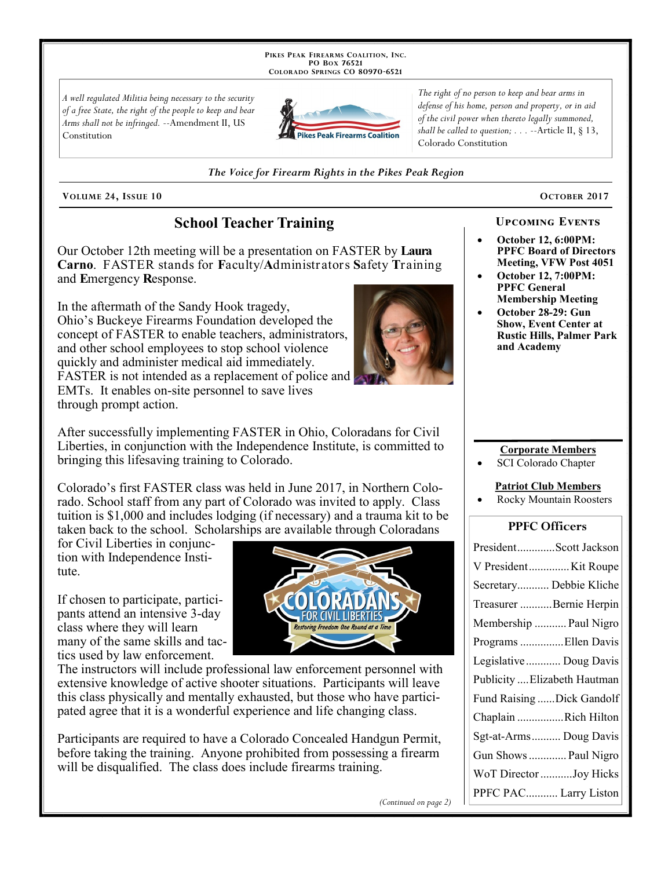PIKES PEAK FIREARMS COALITION, INC. PO BOX 76521 COLORADO SPRINGS CO 80970-6521

A well regulated Militia being necessary to the security of a free State, the right of the people to keep and bear Arms shall not be infringed. --Amendment II, US Constitution



The right of no person to keep and bear arms in defense of his home, person and property, or in aid of the civil power when thereto legally summoned, shall be called to question;  $\ldots$  --Article II, § 13, Colorado Constitution

The Voice for Firearm Rights in the Pikes Peak Region

VOLUME 24, ISSUE 10 CONSERVERSE CONSERVERSE CONSERVERSE CONSERVERSE CONSERVERSE CONSERVERSE CONSERVERSE CONSERVERSE CONSERVERSE CONSERVERSE CONSERVERSE CONSERVERSE CONSERVERSE CONSERVERSE CONSERVERSE CONSERVERSE CONSERVERS

## **School Teacher Training**

Our October 12th meeting will be a presentation on FASTER by Laura Carno. FASTER stands for Faculty/Administrators Safety Training and Emergency Response.

In the aftermath of the Sandy Hook tragedy, Ohio's Buckeye Firearms Foundation developed the concept of FASTER to enable teachers, administrators, and other school employees to stop school violence quickly and administer medical aid immediately. FASTER is not intended as a replacement of police and EMTs. It enables on-site personnel to save lives through prompt action.

After successfully implementing FASTER in Ohio, Coloradans for Civil Liberties, in conjunction with the Independence Institute, is committed to bringing this lifesaving training to Colorado.

Colorado's first FASTER class was held in June 2017, in Northern Colorado. School staff from any part of Colorado was invited to apply. Class tuition is  $$1,000$  and includes lodging (if necessary) and a trauma kit to be taken back to the school. Scholarships are available through Coloradans

for Civil Liberties in conjunction with Independence Institute.

If chosen to participate, participants attend an intensive 3-day class where they will learn many of the same skills and tactics used by law enforcement.



The instructors will include professional law enforcement personnel with extensive knowledge of active shooter situations. Participants will leave this class physically and mentally exhausted, but those who have participated agree that it is a wonderful experience and life changing class.

Participants are required to have a Colorado Concealed Handgun Permit, before taking the training. Anyone prohibited from possessing a firearm will be disqualified. The class does include firearms training.

# UPCOMING EVENTS

- October 12, 6:00PM: PPFC Board of Directors Meeting, VFW Post 4051
- October 12, 7:00PM: PPFC General Membership Meeting
- October 28-29: Gun Show, Event Center at Rustic Hills, Palmer Park and Academy

#### Corporate Members

SCI Colorado Chapter

#### Patriot Club Members

Rocky Mountain Roosters

### PPFC Officers

| PresidentScott Jackson       |
|------------------------------|
| V PresidentKit Roupe         |
| Secretary Debbie Kliche      |
| Treasurer Bernie Herpin      |
| Membership  Paul Nigro       |
| Programs  Ellen Davis        |
| Legislative  Doug Davis      |
| Publicity  Elizabeth Hautman |
| Fund Raising Dick Gandolf    |
| Chaplain Rich Hilton         |
| Sgt-at-Arms Doug Davis       |
| Gun Shows  Paul Nigro        |
| WoT Director Joy Hicks       |
| PPFC PAC Larry Liston        |



(Continued on page 2)